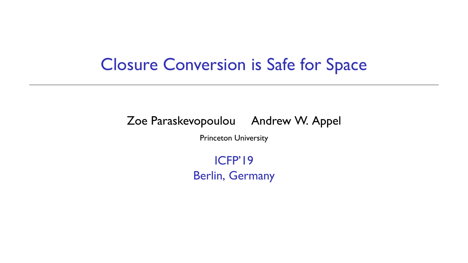#### Closure Conversion is Safe for Space

Zoe Paraskevopoulou Andrew W. Appel

Princeton University

ICFP'19 Berlin, Germany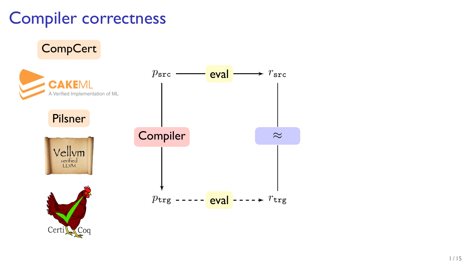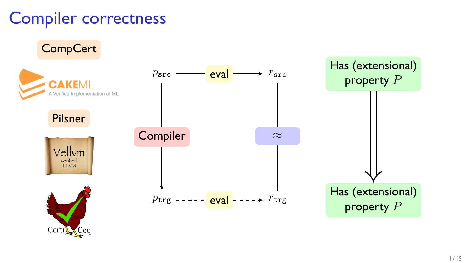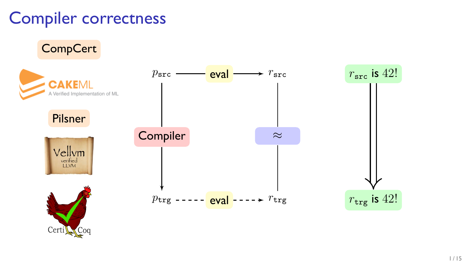**CompCert**  $r<sub>src</sub>$  is 42! *p*src eval  $\div r_{\rm src}$ **CAKEMI** A Verified Implementation of ML Pilsner **Compiler** *≈* Vellym verified<br>LLVM *p*trg ----- <mark>eval</mark> ----*→ r*trg  $r_{\text{trg}}$  is 42! Certi $C^{0q}$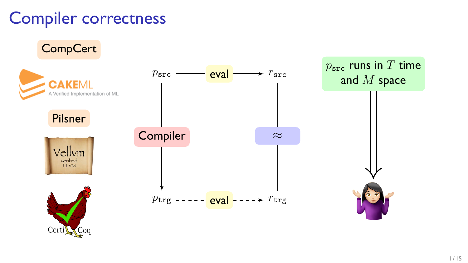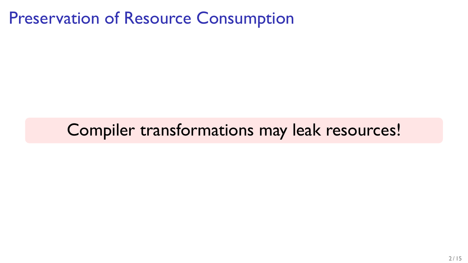#### Preservation of Resource Consumption

### Compiler transformations may leak resources!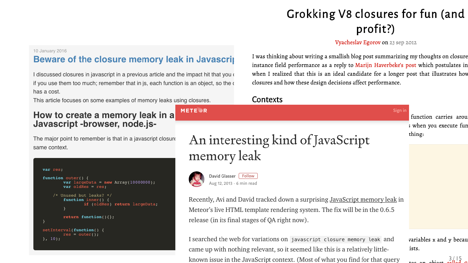#### Grokking V8 closures for fun (and profit?)

#### Vvacheslav Egorov on 23 sep 2012

#### 10. January 2016

#### Beware of the closure memory leak in Javascrit

I discussed closures in javascript in a previous article and the impact hit that you of if you use them too much: remember that in is, each function is an object, so the or has a cost

This article focuses on some examples of memory leaks using closures.

#### How to create a memory leak in a Javascript-browser, node.is-

The major point to remember is that in a javascript closure same context

```
var res
function outer() {
        var largeData = new Array(10000000);
        varoldRes = res/* Unused but leaks? */
        function inner() {
                if (oldRes) return largeData;
        return function(){};
setInterval(function() {
```
I was thinking about writing a smallish blog post summarizing my thoughts on closure instance field performance as a reply to Mariin Haverbeke's post which postulates in when I realized that this is an ideal candidate for a longer post that illustrates hove closures and how these design decisions affect performance.

#### Contexts

An interesting kind of JavaScript memory leak



METERO

David Glasser Follow Aug 12, 2013 - 6 min read

Recently, Avi and David tracked down a surprising JavaScript memory leak in Meteor's live HTML template rendering system. The fix will be in the 0.6.5 release (in its final stages of OA right now).

I searched the web for variations on javascript closure memory leak and came up with nothing relevant, so it seemed like this is a relatively littleknown issue in the JavaScript context. (Most of what you find for that query

function carries arou s when you execute fur thing:

variables x and y becau ists.

 $\frac{3}{4}$   $\frac{1}{2}$   $\frac{3}{4}$   $\frac{1}{2}$   $\frac{3}{4}$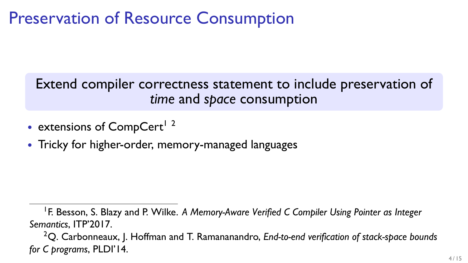### Preservation of Resource Consumption

#### Extend compiler correctness statement to include preservation of *time* and *space* consumption

- extensions of CompCert<sup>1</sup><sup>2</sup>
- *•* Tricky for higher-order, memory-managed languages

<sup>&</sup>lt;sup>1</sup> F. Besson, S. Blazy and P. Wilke. A Memory-Aware Verified C Compiler Using Pointer as Integer *Semantics*, ITP'2017.

<sup>2</sup>Q. Carbonneaux, J. Hoffman and T. Ramananandro, *End-to-end verification of stack-space bounds for C programs*, PLDI'14.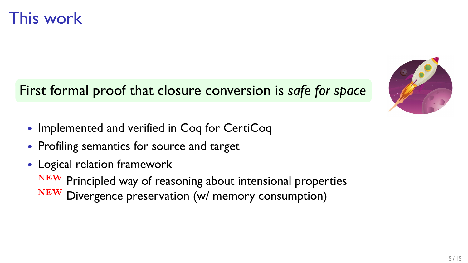#### First formal proof that closure conversion is *safe for space*

- *•* Implemented and verified in Coq for CertiCoq
- *•* Profiling semantics for source and target
- *•* Logical relation framework **NEW** Principled way of reasoning about intensional properties **NEW** Divergence preservation (w/ memory consumption)

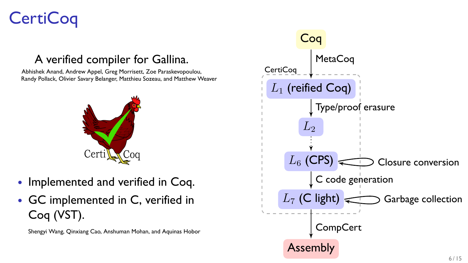## **CertiCoq**

#### A verified compiler for Gallina.

Abhishek Anand, Andrew Appel, Greg Morrisett, Zoe Paraskevopoulou, Randy Pollack, Olivier Savary Belanger, Matthieu Sozeau, and Matthew Weaver



- *•* Implemented and verified in Coq.
- *•* GC implemented in C, verified in Coq (VST).

Shengyi Wang, Qinxiang Cao, Anshuman Mohan, and Aquinas Hobor

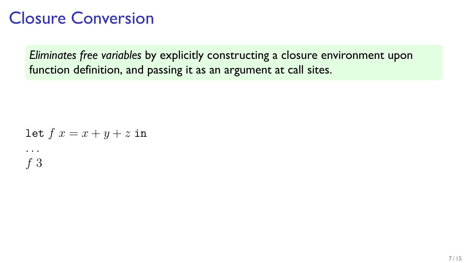#### Closure Conversion

*Eliminates free variables* by explicitly constructing a closure environment upon function definition, and passing it as an argument at call sites.

let 
$$
f x = x + y + z
$$
 in  
\n...  
\n $f 3$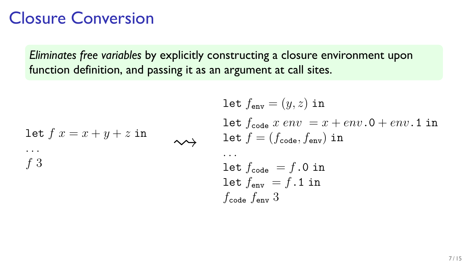#### Closure Conversion

*Eliminates free variables* by explicitly constructing a closure environment upon function definition, and passing it as an argument at call sites.

let 
$$
f x = x + y + z
$$
 in  
\n...  
\n $f 3$ 

let 
$$
f_{env} = (y, z)
$$
 in  
let  $f_{code} x env = x + env. 0 + env. 1$  in  
let  $f = (f_{code}, f_{env})$  in  
...  
let  $f_{code} = f. 0$  in  
let  $f_{env} = f. 1$  in  
 $f_{code} f_{env}$  3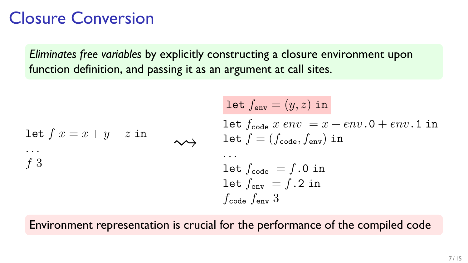#### Closure Conversion

*Eliminates free variables* by explicitly constructing a closure environment upon function definition, and passing it as an argument at call sites.

let 
$$
f x = x + y + z
$$
 in  
\n...  
\n $f 3$ 

let 
$$
f_{env} = (y, z)
$$
 in  
let  $f_{code} x env = x + env. 0 + env. 1$  in  
let  $f = (f_{code}, f_{env})$  in  
...  
let  $f_{code} = f. 0$  in  
let  $f_{env} = f. 2$  in  
 $f_{code} f_{env}$  3

Environment representation is crucial for the performance of the compiled code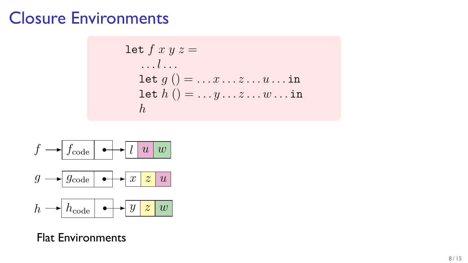#### Closure Environments

$$
\begin{array}{l}\n\text{let } f \ x \ y \ z = \\
\ldots l \ldots \\
\text{let } g \ ( ) = \ldots x \ldots z \ldots u \ldots \text{ in} \\
\text{let } h \ ( ) = \ldots y \ldots z \ldots w \ldots \text{ in} \\
h\n\end{array}
$$



Flat Environments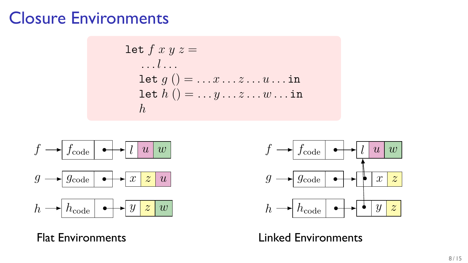#### Closure Environments

$$
\begin{array}{l}\n\text{let } f \ x \ y \ z = \\
\ldots l \ldots \\
\text{let } g \ () = \ldots x \ldots z \ldots u \ldots \text{ in} \\
\text{let } h \ () = \ldots y \ldots z \ldots w \ldots \text{ in} \\
h\n\end{array}
$$



Flat Environments



Linked Environments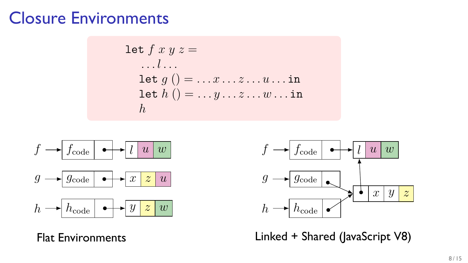#### Closure Environments

$$
\begin{array}{l}\n\text{let } f \ x \ y \ z = \\
\ldots l \ldots \\
\text{let } g \ () = \ldots x \ldots z \ldots u \ldots \text{ in} \\
\text{let } h \ () = \ldots y \ldots z \ldots w \ldots \text{ in} \\
h\n\end{array}
$$



Flat Environments



Linked + Shared (JavaScript V8)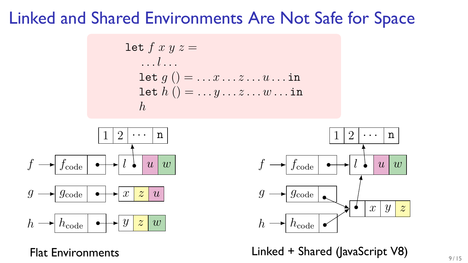#### Linked and Shared Environments Are Not Safe for Space

$$
\begin{array}{l}\n\text{let } f \ x \ y \ z = \\
\dots l \dots \\
\text{let } g \ ( ) = \dots x \dots z \dots u \dots \text{ in} \\
\text{let } h \ ( ) = \dots y \dots z \dots w \dots \text{ in} \\
h\n\end{array}
$$



Flat Environments



Linked + Shared (JavaScript V8)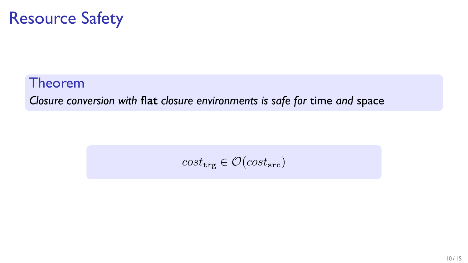### Resource Safety

#### Theorem *Closure conversion with* **flat** *closure environments is safe for* time *and* space

$$
cost_{\texttt{trg}} \in \mathcal{O}(cost_{\texttt{src}})
$$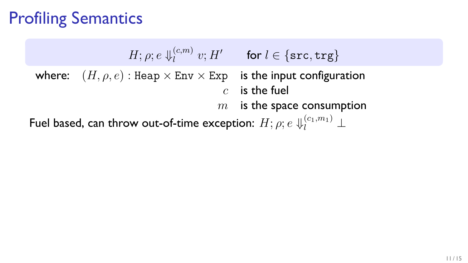## Profiling Semantics

 $H; \rho; e \Downarrow_l^{(c,m)}$  $\{v; H' \text{ for } l \in \{\texttt{src}, \texttt{trg}\}$ where:  $(H, \rho, e)$ : Heap  $\times$  Env  $\times$  Exp is the input configuration *c* is the fuel *m* is the space consumption Fuel based, can throw out-of-time exception:  $H; \rho; e \Downarrow_l^{(c_1,m_1)} \bot$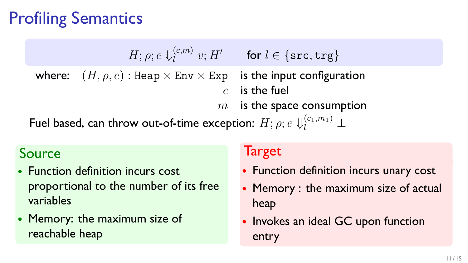## Profiling Semantics

 $H; \rho; e \Downarrow_l^{(c,m)}$  $\{v; H' \text{ for } l \in \{\texttt{src}, \texttt{trg}\}$ where:  $(H, \rho, e)$ : Heap  $\times$  Env  $\times$  Exp is the input configuration *c* is the fuel *m* is the space consumption Fuel based, can throw out-of-time exception:  $H; \rho; e \Downarrow_l^{(c_1,m_1)} \bot$ 

#### Source

- *•* Function definition incurs cost proportional to the number of its free variables
- *•* Memory: the maximum size of reachable heap

#### **Target**

- *•* Function definition incurs unary cost
- *•* Memory : the maximum size of actual heap
- Invokes an ideal GC upon function entry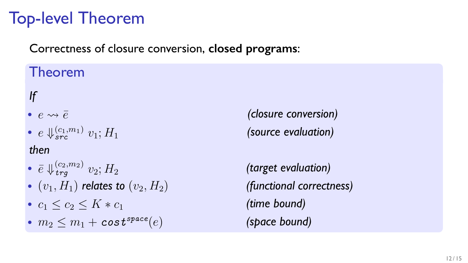## Top-level Theorem

Correctness of closure conversion, **closed programs**:

#### Theorem

*If*

- 
- $e \Downarrow_{src}^{(c_1,m_1)} v_1; H_1$

#### *then*

- $\bullet$   $\bar{e} \Downarrow_{trg}^{(c_2,m_2)} v_2; H_2$
- $(v_1, H_1)$  *relates to*  $(v_2, H_2)$  *(functional correctness)*
- *•*  $c_1$  ≤  $c_2$  ≤  $K * c_1$
- $m_2 \leq m_1 + \cos t^{space}(e)$  *(space bound)*

**•**  $e \rightsquigarrow \overline{e}$  (closure conversion) *(source evaluation)*

> *(target evaluation) (time bound)*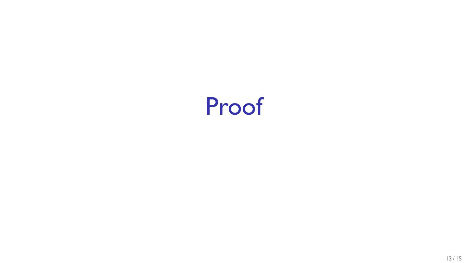# Proof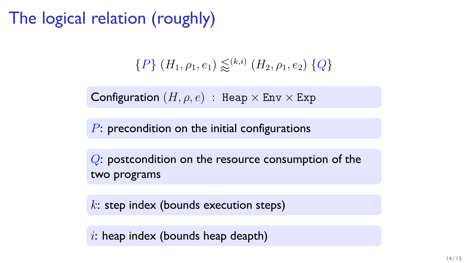The logical relation (roughly)

$$
{P} (H_1, \rho_1, e_1) \lessapprox^{(k,i)} (H_2, \rho_1, e_2) {Q}
$$

Configuration  $(H, \rho, e)$  : Heap  $\times$  Env  $\times$  Exp

*P*: precondition on the initial configurations

*Q*: postcondition on the resource consumption of the two programs

*k*: step index (bounds execution steps)

*i*: heap index (bounds heap deapth)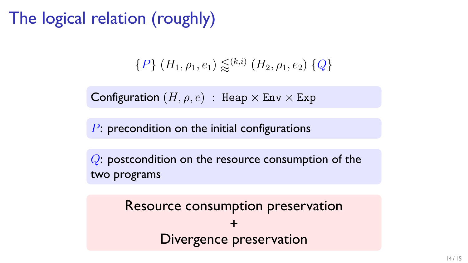The logical relation (roughly)

$$
{P} (H_1, \rho_1, e_1) \lessapprox^{(k,i)} (H_2, \rho_1, e_2) {Q}
$$

Configuration  $(H, \rho, e)$  : Heap  $\times$  Env  $\times$  Exp

*P*: precondition on the initial configurations

*Q*: postcondition on the resource consumption of the two programs

> Resource consumption preservation + Divergence preservation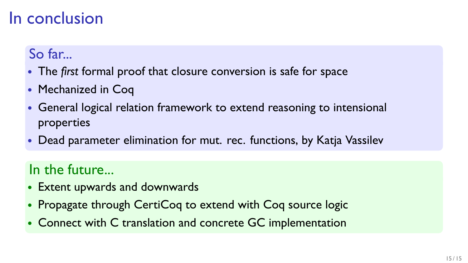### In conclusion

#### So far...

- *•* The *first* formal proof that closure conversion is safe for space
- *•* Mechanized in Coq
- *•* General logical relation framework to extend reasoning to intensional properties
- *•* Dead parameter elimination for mut. rec. functions, by Katja Vassilev

#### In the future...

- *•* Extent upwards and downwards
- *•* Propagate through CertiCoq to extend with Coq source logic
- *•* Connect with C translation and concrete GC implementation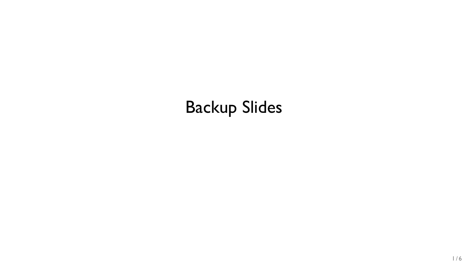## Backup Slides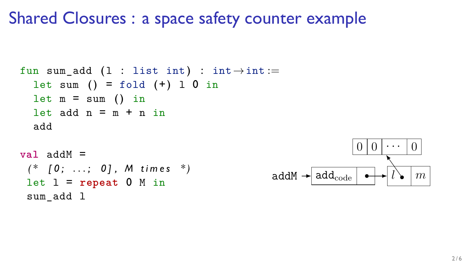#### Shared Closures : a space safety counter example

```
fun sum_add (1 : list int) : int \rightarrow int :=let sum () = fold (+) 1 0 in
  let m = sum () in
  let add n = m + n in
  add
val addM =
```

```
( * [ 0 ; . . . ; 0 ] , M t i m e s * )
let 1 = repeat 0 M insum add 1
```
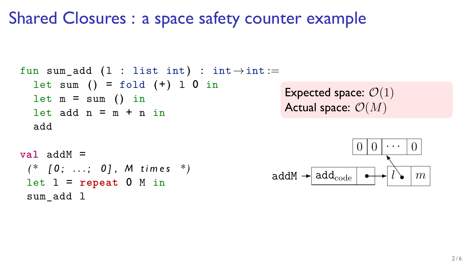### Shared Closures : a space safety counter example

```
fun sum_add (1 : list int) : int \rightarrow int :=let sum () = fold (+) 1 0 in
  let m = sum () in
  let add n = m + n in
  add
val addM =
```

```
( * [ 0 ; . . . ; 0 ] , M t i m e s * )
let \, l = repeat \, 0 \, M \, insum add 1
```
Expected space: *O*(1) Actual space: *O*(*M*)

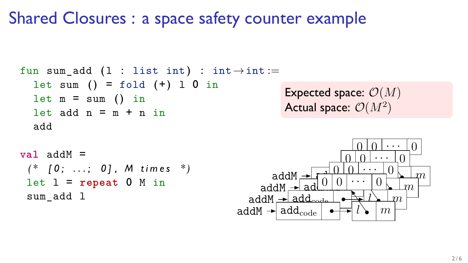### Shared Closures : a space safety counter example

```
fun sum_add (1 : list int) : int \rightarrow int :=let sum () = fold (+) 1 0 in
  let m = sum () in
  let add n = m + n in
  add
```
**val** addM = *( \* [ 0 ; . . . ; 0 ] , M t i m e s \* )*  $let \, l = repeat \, 0 \, M \, in$ sum add 1

Expected space: *O*(*M*) Actual space: *O*(*M*<sup>2</sup> )

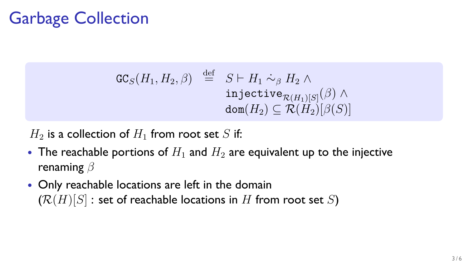## Garbage Collection

$$
\begin{array}{rcl}\n\texttt{GC}_S(H_1, H_2, \beta) & \stackrel{\text{def}}{=} & S \vdash H_1 \sim_\beta H_2 \land \\
& \texttt{injective}_{\mathcal{R}(H_1)[S]}(\beta) \land \\
& \texttt{dom}(H_2) \subseteq \mathcal{R}(H_2)[\beta(S)]\n\end{array}
$$

 $H_2$  is a collection of  $H_1$  from root set *S* if:

- The reachable portions of  $H_1$  and  $H_2$  are equivalent up to the injective renaming *β*
- *•* Only reachable locations are left in the domain  $(R(H)[S]$ : set of reachable locations in *H* from root set *S*)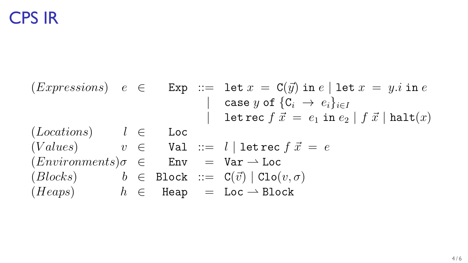#### CPS IR

 $(Ex pressions)$   $e \in \text{Exp} := \text{let } x = \text{C}(\vec{y}) \text{ in } e \mid \text{let } x = y \text{.}$  in *e |* case *y* of *{*C*<sup>i</sup> → ei}<sup>i</sup>∈<sup>I</sup>*  $\text{let } \text{rec } f \, \vec{x} = e_1 \, \text{in } e_2 \mid f \, \vec{x} \mid \text{halt}(x)$ (*Locations*) *l ∈* Loc  $(Values)$   $v \in$  Val ::=  $l \mid$  let rec  $f \, \vec{x} = e$  $(Environments) \sigma \in \text{Env} = \text{Var} \rightarrow \text{Loc}$  $(Blocks)$  *b*  $\in$  Block ::= C( $\vec{v}$ ) | Clo $(v, \sigma)$  $(Heaps)$  *h*  $\in$  Heap = Loc  $\rightarrow$  Block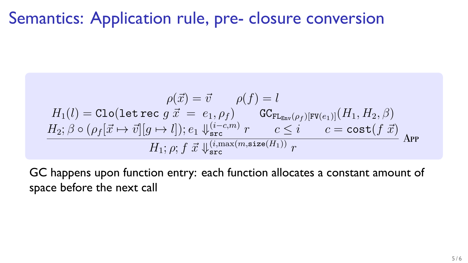#### Semantics: Application rule, pre- closure conversion

$$
\rho(\vec{x}) = \vec{v} \qquad \rho(f) = l
$$
\n
$$
H_1(l) = \text{Clo}(\text{let rec } g \ \vec{x} = e_1, \rho_f) \qquad \text{GC}_{\text{FL}_{\text{Env}}(\rho_f)[\text{FV}(e_1)]}(H_1, H_2, \beta)
$$
\n
$$
H_2; \beta \circ (\rho_f[\vec{x} \mapsto \vec{v}][g \mapsto l]); e_1 \Downarrow_{\text{src}}^{(i-c,m)} r \qquad c \le i \qquad c = \text{cost}(f \ \vec{x})
$$
\n
$$
H_1; \rho; f \ \vec{x} \Downarrow_{\text{src}}^{(i, \text{max}(m, \text{size}(H_1)))} r
$$

GC happens upon function entry: each function allocates a constant amount of space before the next call